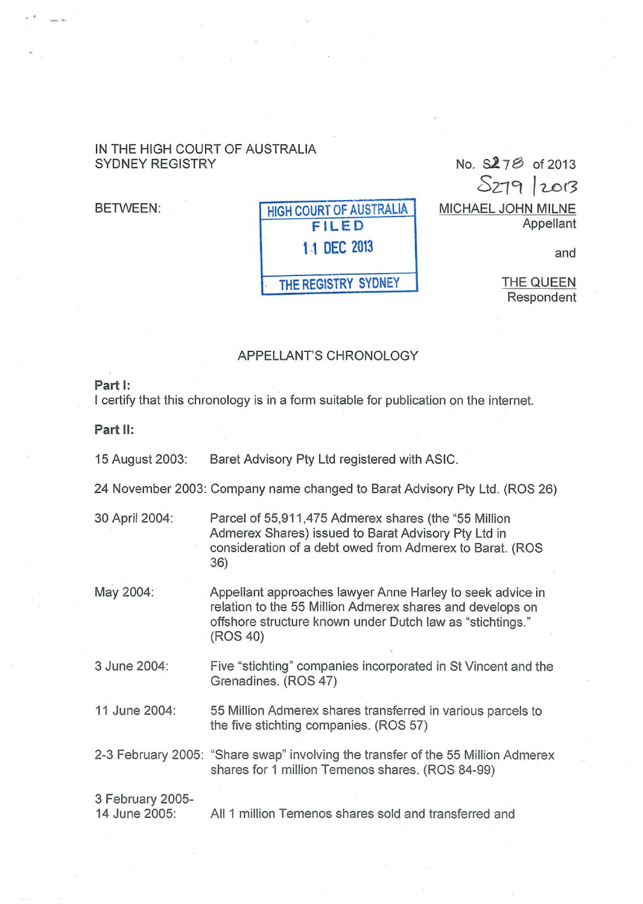## IN THE HIGH COURT OF AUSTRALIA SYDNEY REGISTRY

BETWEEN: HIGH COURT OF AUSTRALIA FILED 1 .. 1 DEC 2013 and

THE REGISTRY SYDNEY THE QUEEN

No.  $$27\%$  of 2013  $5279$   $12013$ MICHAEL JOHN MILNE Appellant

Respondent

## APPELLANT'S CHRONOLOGY

## Part 1:

I certify that this chronology is in a form suitable for publication on the internet.

Part II:

15 August 2003: Baret Advisory Pty Ltd registered with ASIC.

24 November 2003: Company name changed to Barat Advisory Pty Ltd. (ROS 26)

30 April 2004: Parcel of 55,911,475 Admerex shares (the "55 Million Admerex Shares) issued to Barat Advisory Pty Ltd in consideration of a debt owed from Admerex to Barat. (ROS 36)

May 2004: Appellant approaches lawyer Anne Harley to seek advice in relation to the 55 Million Admerex shares and develops on offshore structure known under Dutch law as "stichtings." (ROS 40)

3 June 2004: Five "stichting" companies incorporated in St Vincent and the Grenadines. (ROS 47)

- 11 June 2004: 55 Million Admerex shares transferred in various parcels to the five stichting companies. (ROS 57)
- 2-3 February 2005: "Share swap" involving the transfer of the 55 Million Admerex shares for 1 million Temenos shares. (ROS 84-99)
- 3 February 2005- 14 June 2005: All 1 million Temenos shares sold and transferred and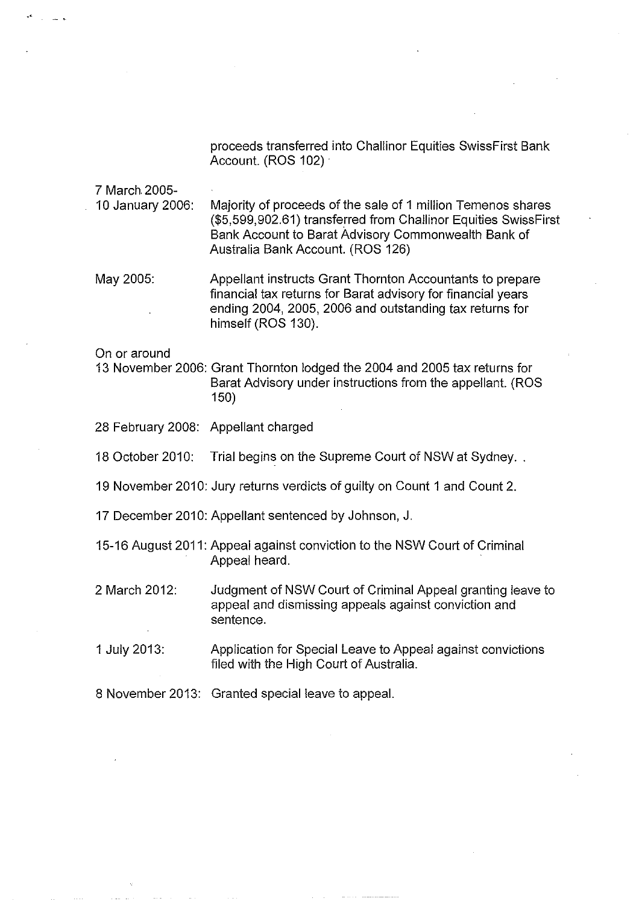proceeds transferred into Challinor Equities SwissFirst Bank Account. (ROS 102) ·

7 March 2005-

10 January 2006: Majority of proceeds of the sale of 1 million Temenos shares (\$5,599,902.61) transferred from Challinor Equities Swiss First Bank Account to Barat Advisory Commonwealth Bank of Australia Bank Account. (ROS 126)

May 2005: Appellant instructs Grant Thornton Accountants to prepare financial tax returns for Barat advisory for financial years ending 2004, 2005, 2006 and outstanding tax returns for himself (ROS 130).

On or around

13 November 2006: Grant Thornton lodged the 2004 and 2005 tax returns for Barat Advisory under instructions from the appellant. (ROS 150)

28 February 2008: Appellant charged

18 October 2010: Trial begins on the Supreme Court of NSW at Sydney..

19 November 2010: Jury returns verdicts of guilty on Count 1 and Count 2.

17 December 2010: Appellant sentenced by Johnson, J.

15-16 August 2011: Appeal against conviction to the NSW Court of Criminal Appeal heard.

2 March 2012: Judgment of NSW Court of Criminal Appeal granting leave to appeal and dismissing appeals against conviction and sentence.

1 July 2013: Application for Special Leave to Appeal against convictions filed with the High Court of Australia.

8 November 2013: Granted special leave to appeal.